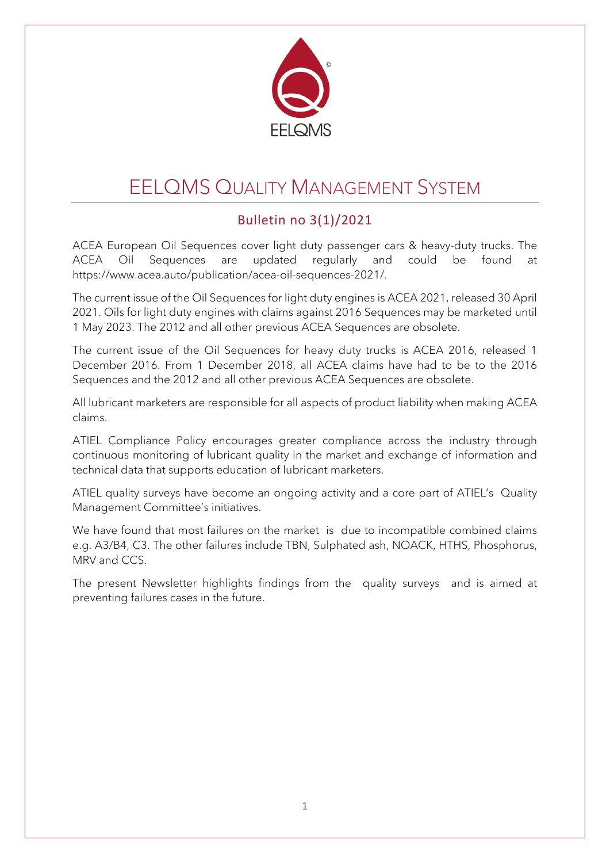

# EELQMS QUALITY MANAGEMENT SYSTEM

### Bulletin no 3(1)/2021

ACEA European Oil Sequences cover light duty passenger cars & heavy-duty trucks. The ACEA Oil Sequences are updated regularly and could be found at https://www.acea.auto/publication/acea-oil-sequences-2021/.

The current issue of the Oil Sequences for light duty engines is ACEA 2021, released 30 April 2021. Oils for light duty engines with claims against 2016 Sequences may be marketed until 1 May 2023. The 2012 and all other previous ACEA Sequences are obsolete.

The current issue of the Oil Sequences for heavy duty trucks is ACEA 2016, released 1 December 2016. From 1 December 2018, all ACEA claims have had to be to the 2016 Sequences and the 2012 and all other previous ACEA Sequences are obsolete.

All lubricant marketers are responsible for all aspects of product liability when making ACEA claims.

ATIEL Compliance Policy encourages greater compliance across the industry through continuous monitoring of lubricant quality in the market and exchange of information and technical data that supports education of lubricant marketers.

ATIEL quality surveys have become an ongoing activity and a core part of ATIEL's Quality Management Committee's initiatives.

We have found that most failures on the market is due to incompatible combined claims e.g. A3/B4, C3. The other failures include TBN, Sulphated ash, NOACK, HTHS, Phosphorus, MRV and CCS.

The present Newsletter highlights findings from the quality surveys and is aimed at preventing failures cases in the future.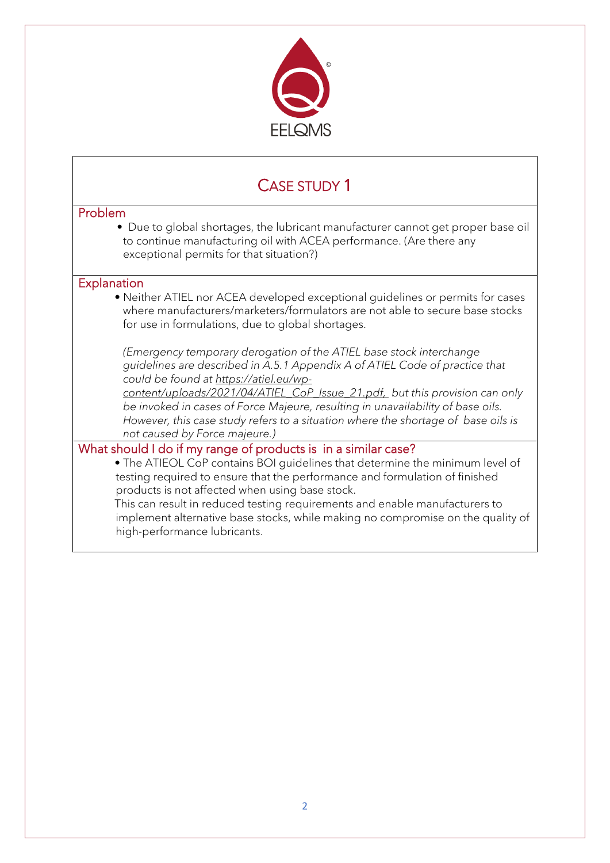

### CASE STUDY 1

#### Problem • Due to global shortages, the lubricant manufacturer cannot get proper base oil to continue manufacturing oil with ACEA performance. (Are there any exceptional permits for that situation?) **Explanation** • Neither ATIEL nor ACEA developed exceptional guidelines or permits for cases where manufacturers/marketers/formulators are not able to secure base stocks for use in formulations, due to global shortages. *(Emergency temporary derogation of the ATIEL base stock interchange guidelines are described in A.5.1 Appendix A of ATIEL Code of practice that could be found at [https://atiel.eu/wp](https://atiel.eu/wp-content/uploads/2021/04/ATIEL_CoP_Issue_21.pdf)[content/uploads/2021/04/ATIEL\\_CoP\\_Issue\\_21.pdf,](https://atiel.eu/wp-content/uploads/2021/04/ATIEL_CoP_Issue_21.pdf) but this provision can only be invoked in cases of Force Majeure, resulting in unavailability of base oils. However, this case study refers to a situation where the shortage of base oils is not caused by Force majeure.)* What should I do if my range of products is in a similar case? • The ATIEOL CoP contains BOI guidelines that determine the minimum level of testing required to ensure that the performance and formulation of finished products is not affected when using base stock. This can result in reduced testing requirements and enable manufacturers to

implement alternative base stocks, while making no compromise on the quality of high-performance lubricants.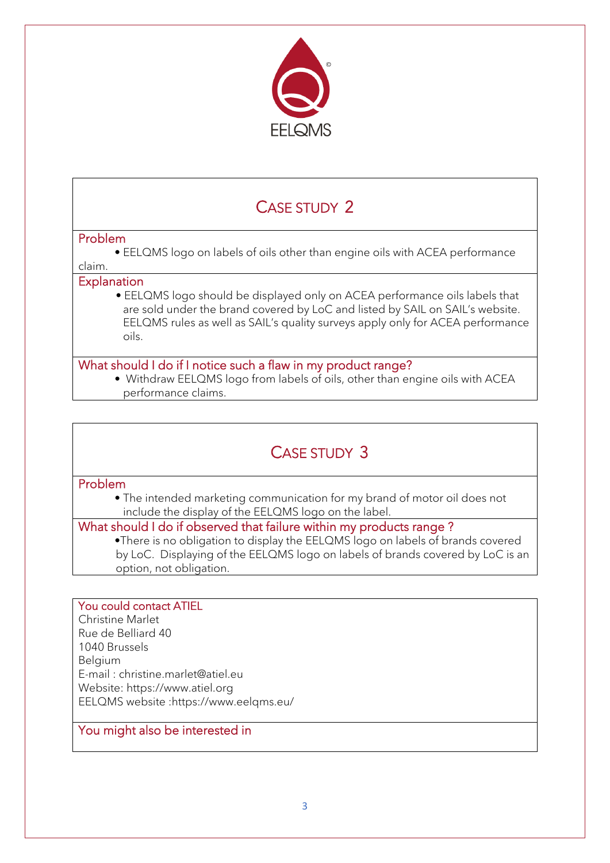

## CASE STUDY 2

#### Problem

• EELQMS logo on labels of oils other than engine oils with ACEA performance

#### claim. **Explanation**

• EELQMS logo should be displayed only on ACEA performance oils labels that are sold under the brand covered by LoC and listed by SAIL on SAIL's website. EELQMS rules as well as SAIL's quality surveys apply only for ACEA performance oils.

#### What should I do if I notice such a flaw in my product range?

• Withdraw EELQMS logo from labels of oils, other than engine oils with ACEA performance claims.

### CASE STUDY 3

#### Problem

• The intended marketing communication for my brand of motor oil does not include the display of the EELQMS logo on the label.

#### What should I do if observed that failure within my products range ?

•There is no obligation to display the EELQMS logo on labels of brands covered by LoC. Displaying of the EELQMS logo on labels of brands covered by LoC is an option, not obligation.

#### You could contact ATIEL

Christine Marlet Rue de Belliard 40 1040 Brussels Belgium E-mail : christine.marlet@atiel.eu Website: https://www.atiel.org EELQMS website :https://www.eelqms.eu/

#### You might also be interested in